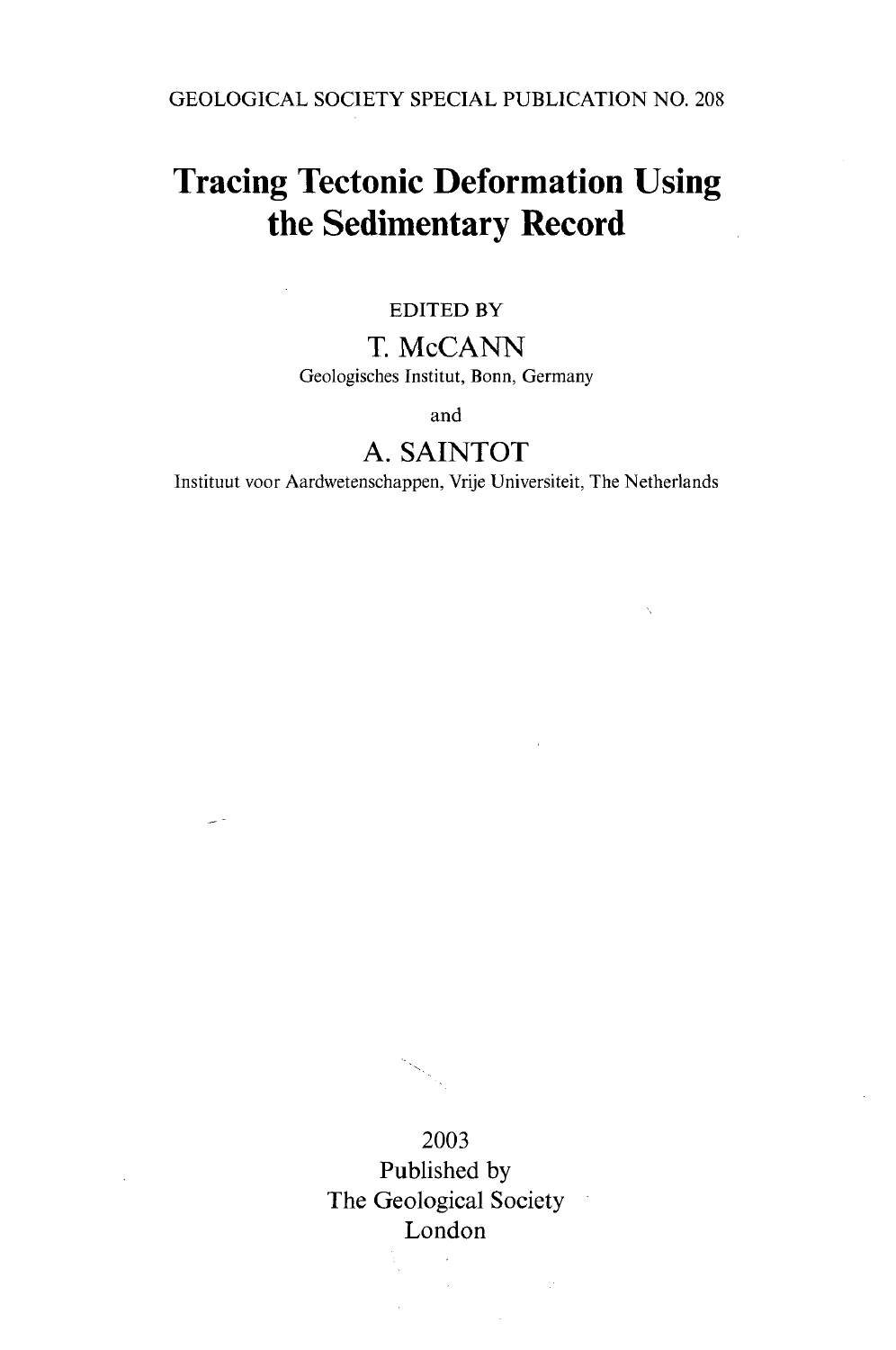GEOLOGICAL SOCIETY SPECIAL PUBLICATION NO. 208

## **Tracing Tectonic Deformation Using the Sedimentary Record**

#### EDITED BY

### T. McCANN Geologisches Institut, Bonn, Germany

and

### A. SAINTOT

Instituut voor Aardwetenschappen, Vrije Universiteit, The Netherlands

2003 Published by The Geological Society London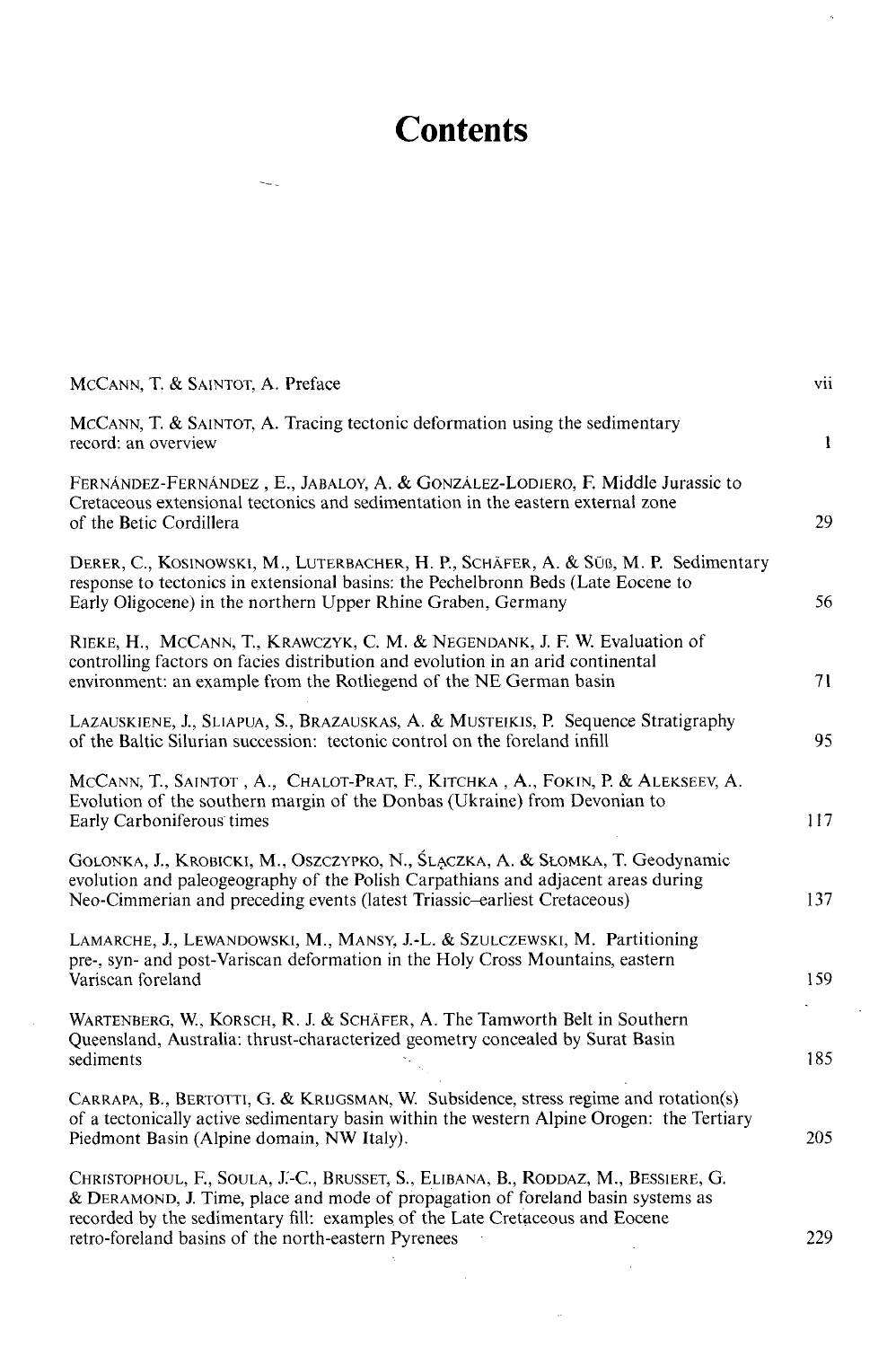# **Contents**

| MCCANN, T. & SAINTOT, A. Preface                                                                                                                                                                                                                                                                             | vii          |
|--------------------------------------------------------------------------------------------------------------------------------------------------------------------------------------------------------------------------------------------------------------------------------------------------------------|--------------|
| MCCANN, T. & SAINTOT, A. Tracing tectonic deformation using the sedimentary<br>record: an overview                                                                                                                                                                                                           | $\mathbf{1}$ |
| FERNÁNDEZ-FERNÁNDEZ, E., JABALOY, A. & GONZÁLEZ-LODIERO, F. Middle Jurassic to<br>Cretaceous extensional tectonics and sedimentation in the eastern external zone<br>of the Betic Cordillera                                                                                                                 | 29           |
| DERER, C., KOSINOWSKI, M., LUTERBACHER, H. P., SCHÄFER, A. & SÜß, M. P. Sedimentary<br>response to tectonics in extensional basins: the Pechelbronn Beds (Late Eocene to<br>Early Oligocene) in the northern Upper Rhine Graben, Germany                                                                     | 56           |
| RIEKE, H., MCCANN, T., KRAWCZYK, C. M. & NEGENDANK, J. F. W. Evaluation of<br>controlling factors on facies distribution and evolution in an arid continental<br>environment: an example from the Rotliegend of the NE German basin                                                                          | 71           |
| LAZAUSKIENE, J., SLIAPUA, S., BRAZAUSKAS, A. & MUSTEIKIS, P. Sequence Stratigraphy<br>of the Baltic Silurian succession: tectonic control on the foreland infill                                                                                                                                             | 95           |
| MCCANN, T., SAINTOT, A., CHALOT-PRAT, F., KITCHKA, A., FOKIN, P. & ALEKSEEV, A.<br>Evolution of the southern margin of the Donbas (Ukraine) from Devonian to<br>Early Carboniferous times                                                                                                                    | 117          |
| GOLONKA, J., KROBICKI, M., OSZCZYPKO, N., ŚLĄCZKA, A. & SŁOMKA, T. Geodynamic<br>evolution and paleogeography of the Polish Carpathians and adjacent areas during<br>Neo-Cimmerian and preceding events (latest Triassic-earliest Cretaceous)                                                                | 137          |
| LAMARCHE, J., LEWANDOWSKI, M., MANSY, J.-L. & SZULCZEWSKI, M. Partitioning<br>pre-, syn- and post-Variscan deformation in the Holy Cross Mountains, eastern<br>Variscan foreland                                                                                                                             | 159          |
| WARTENBERG, W., KORSCH, R. J. & SCHÄFER, A. The Tamworth Belt in Southern<br>Queensland, Australia: thrust-characterized geometry concealed by Surat Basin<br>sediments                                                                                                                                      | 185          |
| CARRAPA, B., BERTOTTI, G. & KRIJGSMAN, W. Subsidence, stress regime and rotation(s)<br>of a tectonically active sedimentary basin within the western Alpine Orogen: the Tertiary<br>Piedmont Basin (Alpine domain, NW Italy).                                                                                | 205          |
| CHRISTOPHOUL, F., SOULA, J.-C., BRUSSET, S., ELIBANA, B., RODDAZ, M., BESSIERE, G.<br>& DERAMOND, J. Time, place and mode of propagation of foreland basin systems as<br>recorded by the sedimentary fill: examples of the Late Cretaceous and Eocene<br>retro-foreland basins of the north-eastern Pyrenees | 229          |